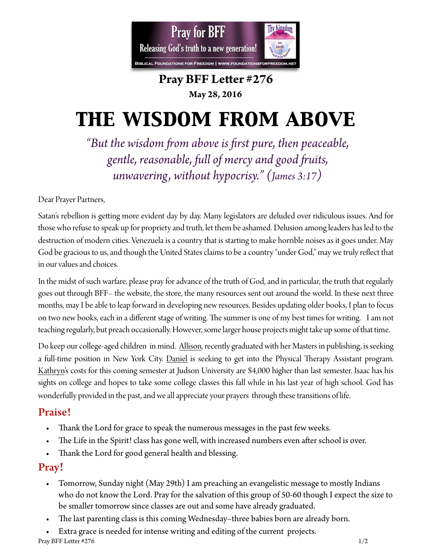

## **Pray BFF Leter #276 May 28, 2016**

# *the wisdom from above*

*"But the wisdom fom above is frst pure, then peaceable, gentle, reasonable, full of mercy and good fuits, unwavering, without hypocrisy." (James 3:17)* 

Dear Prayer Partners,

Satan's rebellion is geting more evident day by day. Many legislators are deluded over ridiculous issues. And for those who refuse to speak up for propriety and truth, let them be ashamed. Delusion among leaders has led to the destruction of modern cities. Venezuela is a country that is starting to make horrible noises as it goes under. May God be gracious to us, and though the United States claims to be a country "under God," may we truly refect that in our values and choices.

In the midst of such warfare, please pray for advance of the truth of God, and in particular, the truth that regularly goes out through BFF– the website, the store, the many resources sent out around the world. In these next three months, may I be able to leap forward in developing new resources. Besides updating older books, I plan to focus on two new books, each in a different stage of writing. The summer is one of my best times for writing. I am not teaching regularly, but preach occasionally. However, some larger house projects might take up some of that time.

Do keep our college-aged children in mind. Allison, recently graduated with her Masters in publishing, is seeking a full-time position in New York City. Daniel is seeking to get into the Physical Therapy Assistant program. Kathryn's costs for this coming semester at Judson University are \$4,000 higher than last semester. Isaac has his sights on college and hopes to take some college classes this fall while in his last year of high school. God has wonderfully provided in the past, and we all appreciate your prayers through these transitions of life.

## Praise!

- Thank the Lord for grace to speak the numerous messages in the past few weeks.
- The Life in the Spirit! class has gone well, with increased numbers even after school is over.
- Thank the Lord for good general health and blessing.

## Pray!

- Tomorrow, Sunday night (May 29th) I am preaching an evangelistic message to mostly Indians who do not know the Lord. Pray for the salvation of this group of 50-60 though I expect the size to be smaller tomorrow since classes are out and some have already graduated.
- The last parenting class is this coming Wednesday–three babies born are already born.
- Extra grace is needed for intense writing and editing of the current projects.

Pray BFF Letter  $\#276$  1/2